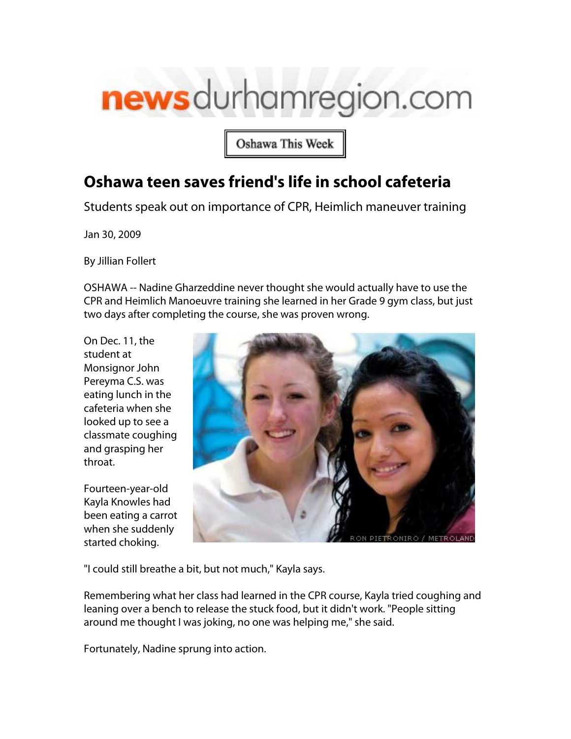## newsdurhamregion.com

Oshawa This Week

## **Oshawa teen saves friend's life in school cafeteria**

Students speak out on importance of CPR, Heimlich maneuver training

Jan 30, 2009

[By Jillian Follert](mailto:jfollert@durhamregion.com)

OSHAWA -- Nadine Gharzeddine never thought she would actually have to use the CPR and Heimlich Manoeuvre training she learned in her Grade 9 gym class, but just two days after completing the course, she was proven wrong.

On Dec. 11, the student at Monsignor John Pereyma C.S. was eating lunch in the cafeteria when she looked up to see a classmate coughing and grasping her throat.

Fourteen-year-old Kayla Knowles had been eating a carrot when she suddenly started choking.



"I could still breathe a bit, but not much," Kayla says.

Remembering what her class had learned in the CPR course, Kayla tried coughing and leaning over a bench to release the stuck food, but it didn't work. "People sitting around me thought I was joking, no one was helping me," she said.

Fortunately, Nadine sprung into action.